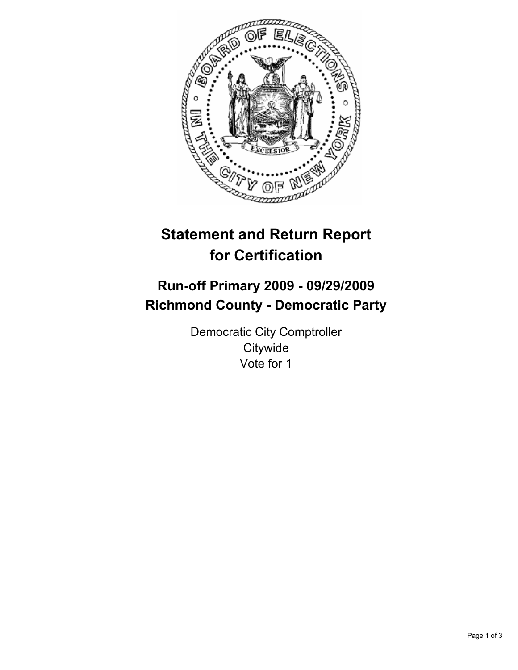

# **Statement and Return Report for Certification**

## **Run-off Primary 2009 - 09/29/2009 Richmond County - Democratic Party**

Democratic City Comptroller **Citywide** Vote for 1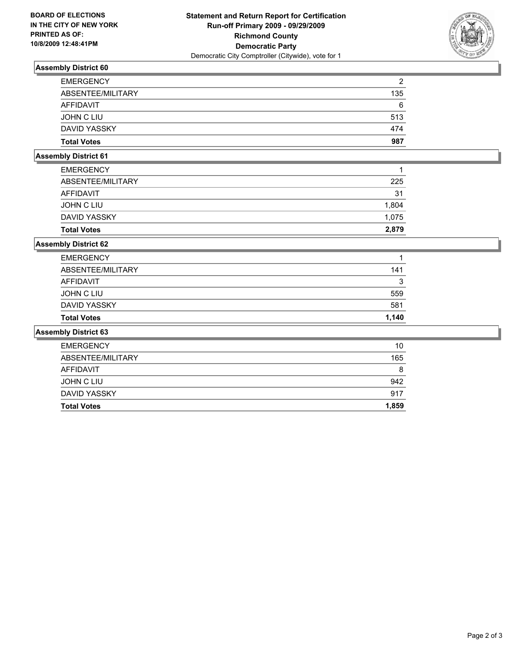

### **Assembly District 60**

| <b>Total Votes</b> | 987 |
|--------------------|-----|
| DAVID YASSKY       | 474 |
| JOHN C LIU         | 513 |
| AFFIDAVIT          | 6   |
| ABSENTEE/MILITARY  | 135 |
| <b>EMERGENCY</b>   | 2   |

#### **Assembly District 61**

| <b>Total Votes</b> | 2.879 |
|--------------------|-------|
| DAVID YASSKY       | 1.075 |
| JOHN C LIU         | 1,804 |
| AFFIDAVIT          | 31    |
| ABSENTEE/MILITARY  | 225   |
| <b>EMERGENCY</b>   | 1     |
|                    |       |

#### **Assembly District 62**

| <b>Total Votes</b> | 1.140 |
|--------------------|-------|
| DAVID YASSKY       | 581   |
| JOHN C LIU         | 559   |
| AFFIDAVIT          | 3     |
| ABSENTEE/MILITARY  | 141   |
| <b>EMERGENCY</b>   | 1     |

#### **Assembly District 63**

| <b>EMERGENCY</b>   | 10    |
|--------------------|-------|
| ABSENTEE/MILITARY  | 165   |
| AFFIDAVIT          | 8     |
| JOHN C LIU         | 942   |
| DAVID YASSKY       | 917   |
| <b>Total Votes</b> | 1,859 |